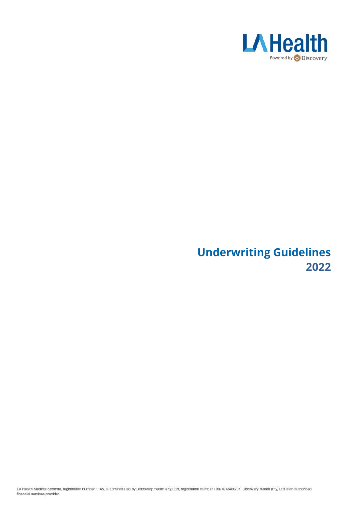

# **Underwriting Guidelines 2022**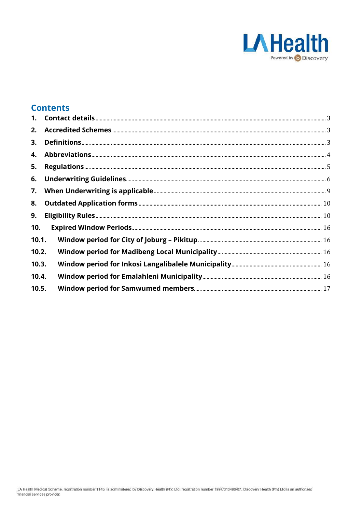

## **Contents**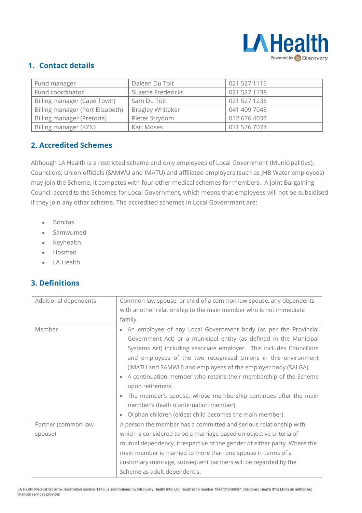

## <span id="page-2-0"></span>**1. Contact details**

| Fund manager                     | Daleen Du Toit          | 021 527 1116 |
|----------------------------------|-------------------------|--------------|
| Fund coordinator                 | Suzette Fredericks      | 021 527 1138 |
| Billing manager (Cape Town)      | Sam Du Toit             | 021 527 1236 |
| Billing manager (Port Elizabeth) | <b>Bragley Whitaker</b> | 041 409 7048 |
| Billing manager (Pretoria)       | Pieter Strydom          | 012 676 4037 |
| Billing manager (KZN)            | Karl Moses              | 031 576 7074 |

## <span id="page-2-1"></span>**2. Accredited Schemes**

Although LA Health is a restricted scheme and only employees of Local Government (Municipalities), Councilors, Union officials (SAMWU and IMATU) and affiliated employers (such as JHB Water employees) may join the Scheme, it competes with four other medical schemes for members. A joint Bargaining Council accredits the Schemes for Local Government, which means that employees will not be subsidised if they join any other scheme. The accredited schemes in Local Government are:

- Bonitas
- Samwumed
- Keyhealth
- Hosmed
- LA Health

### <span id="page-2-2"></span>**3. Definitions**

| Additional dependents | Common law spouse, or child of a common law spouse, any dependents           |  |  |
|-----------------------|------------------------------------------------------------------------------|--|--|
|                       | with another relationship to the main member who is not immediate            |  |  |
|                       | family.                                                                      |  |  |
| Member                | An employee of any Local Government body (as per the Provincial<br>$\bullet$ |  |  |
|                       | Government Act) or a municipal entity (as defined in the Municipal           |  |  |
|                       | Systems Act) including associate employer. This includes Councillors         |  |  |
|                       | and employees of the two recognised Unions in this environment               |  |  |
|                       | (IMATU and SAMWU) and employees of the employer body (SALGA).                |  |  |
|                       | A continuation member who retains their membership of the Scheme             |  |  |
|                       | upon retirement.                                                             |  |  |
|                       | The member's spouse, whose membership continues after the main               |  |  |
|                       | member's death (continuation member).                                        |  |  |
|                       | Orphan children (oldest child becomes the main member).                      |  |  |
| Partner (common-law   | A person the member has a committed and serious relationship with,           |  |  |
| spouse)               | which is considered to be a marriage based on objective criteria of          |  |  |
|                       | mutual dependency, irrespective of the gender of either party. Where the     |  |  |
|                       | main member is married to more than one spouse in terms of a                 |  |  |
|                       | customary marriage, subsequent partners will be regarded by the              |  |  |
|                       | Scheme as adult dependent s.                                                 |  |  |

LA Health Medical Scheme, registration number 1145, is administered by Discovery Health (Pty) Ltd, registration number 1997/013480/07. Discovery Health (Pty) Ltd is an authorised financial services provider.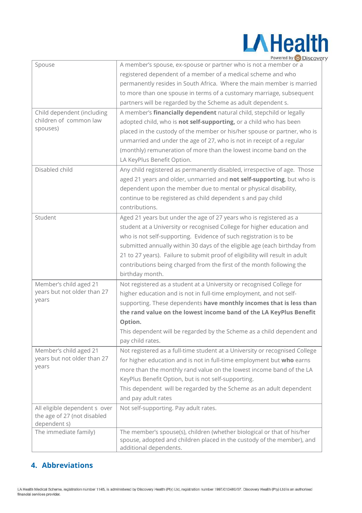

|                               | Powered by MISCOVE                                                                                                                                |
|-------------------------------|---------------------------------------------------------------------------------------------------------------------------------------------------|
| Spouse                        | A member's spouse, ex-spouse or partner who is not a member or a                                                                                  |
|                               | registered dependent of a member of a medical scheme and who                                                                                      |
|                               | permanently resides in South Africa. Where the main member is married                                                                             |
|                               | to more than one spouse in terms of a customary marriage, subsequent                                                                              |
|                               | partners will be regarded by the Scheme as adult dependent s.                                                                                     |
| Child dependent (including    | A member's financially dependent natural child, stepchild or legally                                                                              |
| children of common law        | adopted child, who is not self-supporting, or a child who has been                                                                                |
| spouses)                      | placed in the custody of the member or his/her spouse or partner, who is                                                                          |
|                               | unmarried and under the age of 27, who is not in receipt of a regular                                                                             |
|                               | (monthly) remuneration of more than the lowest income band on the                                                                                 |
|                               | LA KeyPlus Benefit Option.                                                                                                                        |
| Disabled child                | Any child registered as permanently disabled, irrespective of age. Those                                                                          |
|                               | aged 21 years and older, unmarried and not self-supporting, but who is                                                                            |
|                               | dependent upon the member due to mental or physical disability,                                                                                   |
|                               | continue to be registered as child dependent s and pay child                                                                                      |
|                               | contributions.                                                                                                                                    |
| Student                       | Aged 21 years but under the age of 27 years who is registered as a                                                                                |
|                               | student at a University or recognised College for higher education and                                                                            |
|                               | who is not self-supporting. Evidence of such registration is to be                                                                                |
|                               | submitted annually within 30 days of the eligible age (each birthday from                                                                         |
|                               | 21 to 27 years). Failure to submit proof of eligibility will result in adult                                                                      |
|                               | contributions being charged from the first of the month following the                                                                             |
|                               | birthday month.                                                                                                                                   |
| Member's child aged 21        | Not registered as a student at a University or recognised College for                                                                             |
| years but not older than 27   | higher education and is not in full-time employment, and not self-                                                                                |
| years                         | supporting. These dependents have monthly incomes that is less than                                                                               |
|                               | the rand value on the lowest income band of the LA KeyPlus Benefit                                                                                |
|                               | Option.                                                                                                                                           |
|                               | This dependent will be regarded by the Scheme as a child dependent and                                                                            |
|                               | pay child rates.                                                                                                                                  |
| Member's child aged 21        | Not registered as a full-time student at a University or recognised College                                                                       |
| years but not older than 27   | for higher education and is not in full-time employment but who earns                                                                             |
| years                         | more than the monthly rand value on the lowest income band of the LA                                                                              |
|                               | KeyPlus Benefit Option, but is not self-supporting.                                                                                               |
|                               | This dependent will be regarded by the Scheme as an adult dependent                                                                               |
|                               | and pay adult rates                                                                                                                               |
| All eligible dependent s over | Not self-supporting. Pay adult rates.                                                                                                             |
| the age of 27 (not disabled   |                                                                                                                                                   |
| dependent s)                  |                                                                                                                                                   |
| The immediate family)         | The member's spouse(s), children (whether biological or that of his/her<br>spouse, adopted and children placed in the custody of the member), and |
|                               | additional dependents.                                                                                                                            |

## <span id="page-3-0"></span>**4. Abbreviations**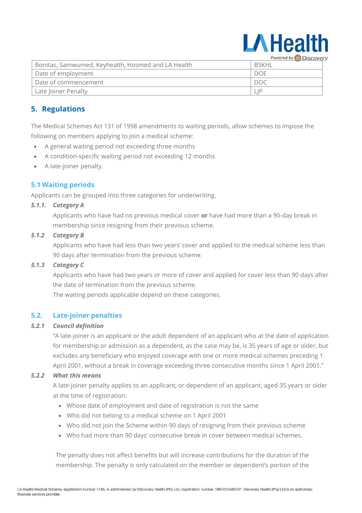

Bonitas, Samwumed, Keyhealth, Hosmed and LA Health BSKHL Date of employment  $\Box$ Date of commencement  $\Box$ Late Joiner Penalty **Late Late Section** LIP

## <span id="page-4-0"></span>**5. Regulations**

The Medical Schemes Act 131 of 1998 amendments to waiting periods, allow schemes to impose the following on members applying to join a medical scheme:

- A general waiting period not exceeding three months
- A condition-specific waiting period not exceeding 12 months
- A late-joiner penalty.

#### **5.1 Waiting periods**

Applicants can be grouped into three categories for underwriting.

#### *5.1.1. Category A*

Applicants who have had no previous medical cover **or** have had more than a 90-day break in membership since resigning from their previous scheme.

#### *5.1.2 Category B*

Applicants who have had less than two years' cover and applied to the medical scheme less than 90 days after termination from the previous scheme.

#### *5.1.3 Category C*

Applicants who have had two years or more of cover and applied for cover less than 90 days after the date of termination from the previous scheme.

The waiting periods applicable depend on these categories.

#### **5.2. Late-joiner penalties**

#### *5.2.1 Council definition*

"A late-joiner is an applicant or the adult dependent of an applicant who at the date of application for membership or admission as a dependent, as the case may be, is 35 years of age or older, but excludes any beneficiary who enjoyed coverage with one or more medical schemes preceding 1 April 2001, without a break in coverage exceeding three consecutive months since 1 April 2001."

#### *5.2.2 What this means*

A late-joiner penalty applies to an applicant, or dependent of an applicant, aged 35 years or older at the time of registration:

- Whose date of employment and date of registration is not the same
- Who did not belong to a medical scheme on 1 April 2001
- Who did not join the Scheme within 90 days of resigning from their previous scheme
- Who had more than 90 days' consecutive break in cover between medical schemes.

The penalty does not affect benefits but will increase contributions for the duration of the membership. The penalty is only calculated on the member or dependent's portion of the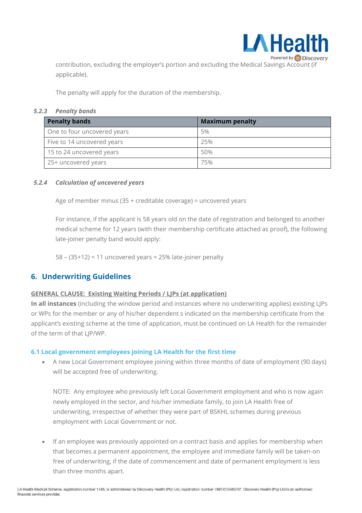

contribution, excluding the employer's portion and excluding the Medical Savings Account (if applicable).

The penalty will apply for the duration of the membership.

#### *5.2.3 Penalty bands*

| <b>Penalty bands</b>        | <b>Maximum penalty</b> |
|-----------------------------|------------------------|
| One to four uncovered years | 5%                     |
| Five to 14 uncovered years  | 25%                    |
| 15 to 24 uncovered years    | 50%                    |
| 25+ uncovered years         | 75%                    |

#### *5.2.4 Calculation of uncovered years*

Age of member minus (35 + creditable coverage) = uncovered years

For instance, if the applicant is 58 years old on the date of registration and belonged to another medical scheme for 12 years (with their membership certificate attached as proof), the following late-joiner penalty band would apply:

 $58 - (35+12) = 11$  uncovered years = 25% late-joiner penalty

#### <span id="page-5-0"></span>**6. Underwriting Guidelines**

#### **GENERAL CLAUSE: Existing Waiting Periods / LJPs (at application)**

**In all instances** (including the window period and instances where no underwriting applies) existing LJPs or WPs for the member or any of his/her dependent s indicated on the membership certificate from the applicant's existing scheme at the time of application, must be continued on LA Health for the remainder of the term of that LJP/WP.

#### **6.1 Local government employees joining LA Health for the first time**

• A new Local Government employee joining within three months of date of employment (90 days) will be accepted free of underwriting.

NOTE: Any employee who previously left Local Government employment and who is now again newly employed in the sector, and his/her immediate family, to join LA Health free of underwriting, irrespective of whether they were part of BSKHL schemes during previous employment with Local Government or not.

• If an employee was previously appointed on a contract basis and applies for membership when that becomes a permanent appointment, the employee and immediate family will be taken-on free of underwriting, if the date of commencement and date of permanent employment is less than three months apart.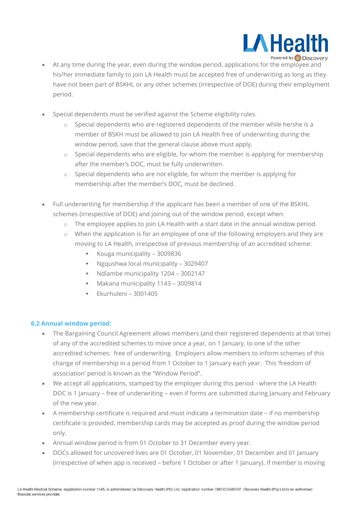

- At any time during the year, even during the window period, applications for the employee and his/her immediate family to join LA Health must be accepted free of underwriting as long as they have not been part of BSKHL or any other schemes (irrespective of DOE) during their employment period.
- Special dependents must be verified against the Scheme eligibility rules.
	- $\circ$  Special dependents who are registered dependents of the member while he/she is a member of BSKH must be allowed to join LA Health free of underwriting during the window period, save that the general clause above must apply.
	- $\circ$  Special dependents who are eligible, for whom the member is applying for membership after the member's DOC, must be fully underwritten.
	- $\circ$  Special dependents who are not eligible, for whom the member is applying for membership after the member's DOC, must be declined.
- Full underwriting for membership if the applicant has been a member of one of the BSKHL schemes (irrespective of DOE) and joining out of the window period, except when:
	- $\circ$  The employee applies to join LA Health with a start date in the annual window period.
	- $\circ$  When the application is for an employee of one of the following employers and they are moving to LA Health, irrespective of previous membership of an accredited scheme:
		- Kouga municipality 3009836
		- Ngqushwa local municipality 3029407
		- Ndlambe municipality 1204 3002147
		- Makana municipality 1143 3009814
		- Ekurhuleni 3001405

#### **6.2 Annual window period:**

- The Bargaining Council Agreement allows members (and their registered dependents at that time) of any of the accredited schemes to move once a year, on 1 January, to one of the other accredited schemes: free of underwriting. Employers allow members to inform schemes of this change of membership in a period from 1 October to 1 January each year. This 'freedom of association' period is known as the "Window Period".
- We accept all applications, stamped by the employer during this period where the LA Health DOC is 1 January – free of underwriting – even if forms are submitted during January and February of the new year.
- A membership certificate is required and must indicate a termination date if no membership certificate is provided, membership cards may be accepted as proof during the window period only.
- Annual window period is from 01 October to 31 December every year.
- DOCs allowed for uncovered lives are 01 October, 01 November, 01 December and 01 January (irrespective of when app is received – before 1 October or after 1 January). If member is moving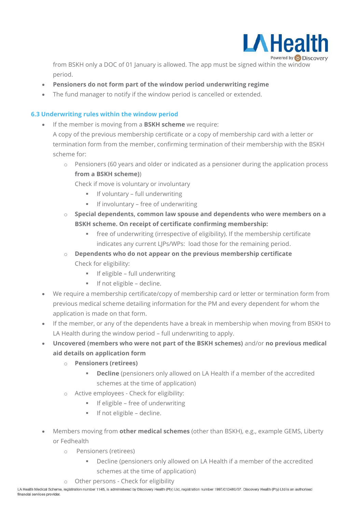

from BSKH only a DOC of 01 January is allowed. The app must be signed within the window period.

- **Pensioners do not form part of the window period underwriting regime**
- The fund manager to notify if the window period is cancelled or extended.

#### **6.3 Underwriting rules within the window period**

- If the member is moving from a **BSKH scheme** we require:
	- A copy of the previous membership certificate or a copy of membership card with a letter or termination form from the member, confirming termination of their membership with the BSKH scheme for:
		- o Pensioners (60 years and older or indicated as a pensioner during the application process **from a BSKH scheme)**)

Check if move is voluntary or involuntary

- **■** If voluntary full underwriting
- If involuntary free of underwriting
- o **Special dependents, common law spouse and dependents who were members on a BSKH scheme. On receipt of certificate confirming membership:**
	- free of underwriting (irrespective of eligibility). If the membership certificate indicates any current LIPs/WPs: load those for the remaining period.
- o **Dependents who do not appear on the previous membership certificate** Check for eligibility:
	- **·** If eligible full underwriting
	- If not eligible decline.
- We require a membership certificate/copy of membership card or letter or termination form from previous medical scheme detailing information for the PM and every dependent for whom the application is made on that form.
- If the member, or any of the dependents have a break in membership when moving from BSKH to LA Health during the window period – full underwriting to apply.
- **Uncovered (members who were not part of the BSKH schemes)** and/or **no previous medical aid details on application form**
	- o **Pensioners (retirees)**
		- **Decline** (pensioners only allowed on LA Health if a member of the accredited schemes at the time of application)
	- o Active employees Check for eligibility:
		- **■** If eligible free of underwriting
		- If not eligible decline.
- Members moving from **other medical schemes** (other than BSKH), e.g., example GEMS, Liberty or Fedhealth
	- o Pensioners (retirees)
		- **EXEDED FIGHTS I** Decline (pensioners only allowed on LA Health if a member of the accredited schemes at the time of application)
	- o Other persons Check for eligibility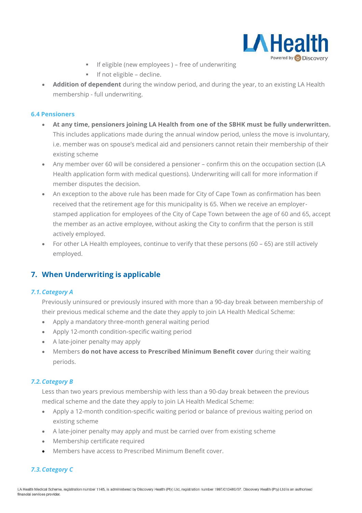

- **•** If eligible (new employees) free of underwriting
- If not eligible decline.
- **Addition of dependent** during the window period, and during the year, to an existing LA Health membership - full underwriting.

#### **6.4 Pensioners**

- **At any time, pensioners joining LA Health from one of the SBHK must be fully underwritten.** This includes applications made during the annual window period, unless the move is involuntary, i.e. member was on spouse's medical aid and pensioners cannot retain their membership of their existing scheme
- Any member over 60 will be considered a pensioner confirm this on the occupation section (LA Health application form with medical questions). Underwriting will call for more information if member disputes the decision.
- An exception to the above rule has been made for City of Cape Town as confirmation has been received that the retirement age for this municipality is 65. When we receive an employerstamped application for employees of the City of Cape Town between the age of 60 and 65, accept the member as an active employee, without asking the City to confirm that the person is still actively employed.
- For other LA Health employees, continue to verify that these persons (60 65) are still actively employed.

#### <span id="page-8-0"></span>**7. When Underwriting is applicable**

#### *7.1.Category A*

Previously uninsured or previously insured with more than a 90-day break between membership of their previous medical scheme and the date they apply to join LA Health Medical Scheme:

- Apply a mandatory three-month general waiting period
- Apply 12-month condition-specific waiting period
- A late-joiner penalty may apply
- Members **do not have access to Prescribed Minimum Benefit cover** during their waiting periods.

#### *7.2.Category B*

Less than two years previous membership with less than a 90-day break between the previous medical scheme and the date they apply to join LA Health Medical Scheme:

- Apply a 12-month condition-specific waiting period or balance of previous waiting period on existing scheme
- A late-joiner penalty may apply and must be carried over from existing scheme
- Membership certificate required
- Members have access to Prescribed Minimum Benefit cover.

#### *7.3.Category C*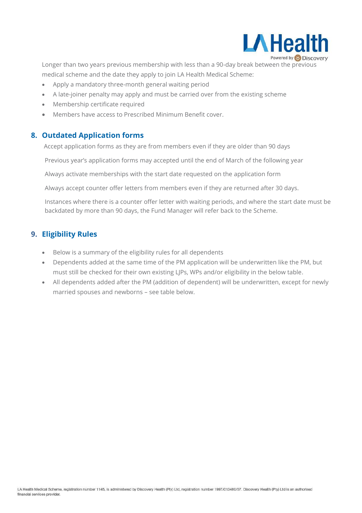

Longer than two years previous membership with less than a 90-day break between the previous medical scheme and the date they apply to join LA Health Medical Scheme:

- Apply a mandatory three-month general waiting period
- A late-joiner penalty may apply and must be carried over from the existing scheme
- Membership certificate required
- Members have access to Prescribed Minimum Benefit cover.

#### <span id="page-9-0"></span>**8. Outdated Application forms**

Accept application forms as they are from members even if they are older than 90 days

Previous year's application forms may accepted until the end of March of the following year

Always activate memberships with the start date requested on the application form

Always accept counter offer letters from members even if they are returned after 30 days.

Instances where there is a counter offer letter with waiting periods, and where the start date must be backdated by more than 90 days, the Fund Manager will refer back to the Scheme.

#### <span id="page-9-1"></span>**9. Eligibility Rules**

- Below is a summary of the eligibility rules for all dependents
- Dependents added at the same time of the PM application will be underwritten like the PM, but must still be checked for their own existing LJPs, WPs and/or eligibility in the below table.
- All dependents added after the PM (addition of dependent) will be underwritten, except for newly married spouses and newborns – see table below.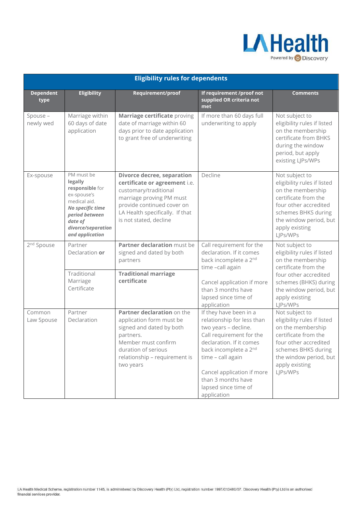

| <b>Eligibility rules for dependents</b> |                                                                                                                                                                   |                                                                                                                                                                                                                    |                                                                                                                                                                                                                                                                               |                                                                                                                                                                                                      |
|-----------------------------------------|-------------------------------------------------------------------------------------------------------------------------------------------------------------------|--------------------------------------------------------------------------------------------------------------------------------------------------------------------------------------------------------------------|-------------------------------------------------------------------------------------------------------------------------------------------------------------------------------------------------------------------------------------------------------------------------------|------------------------------------------------------------------------------------------------------------------------------------------------------------------------------------------------------|
| <b>Dependent</b><br>type                | <b>Eligibility</b>                                                                                                                                                | Requirement/proof                                                                                                                                                                                                  | If requirement /proof not<br>supplied OR criteria not<br>met                                                                                                                                                                                                                  | <b>Comments</b>                                                                                                                                                                                      |
| Spouse -<br>newly wed                   | Marriage within<br>60 days of date<br>application                                                                                                                 | Marriage certificate proving<br>date of marriage within 60<br>days prior to date application<br>to grant free of underwriting                                                                                      | If more than 60 days full<br>underwriting to apply                                                                                                                                                                                                                            | Not subject to<br>eligibility rules if listed<br>on the membership<br>certificate from BHKS<br>during the window<br>period, but apply<br>existing LJPs/WPs                                           |
| Ex-spouse                               | PM must be<br>legally<br>responsible for<br>ex-spouse's<br>medical aid.<br>No specific time<br>period between<br>date of<br>divorce/separation<br>and application | <b>Divorce decree, separation</b><br>certificate or agreement i.e.<br>customary/traditional<br>marriage proving PM must<br>provide continued cover on<br>LA Health specifically. If that<br>is not stated, decline | Decline                                                                                                                                                                                                                                                                       | Not subject to<br>eligibility rules if listed<br>on the membership<br>certificate from the<br>four other accredited<br>schemes BHKS during<br>the window period, but<br>apply existing<br>LJPs/WPs   |
| 2 <sup>nd</sup> Spouse                  | Partner<br>Declaration or<br>Traditional<br>Marriage<br>Certificate                                                                                               | Partner declaration must be<br>signed and dated by both<br>partners<br><b>Traditional marriage</b><br>certificate                                                                                                  | Call requirement for the<br>declaration. If it comes<br>back incomplete a 2 <sup>nd</sup><br>time -call again<br>Cancel application if more<br>than 3 months have<br>lapsed since time of<br>application                                                                      | Not subject to<br>eligibility rules if listed<br>on the membership<br>certificate from the<br>four other accredited<br>schemes (BHKS) during<br>the window period, but<br>apply existing<br>LJPs/WPs |
| Common<br>Law Spouse                    | Partner<br>Declaration                                                                                                                                            | Partner declaration on the<br>application form must be<br>signed and dated by both<br>partners.<br>Member must confirm<br>duration of serious<br>relationship - requirement is<br>two years                        | If they have been in a<br>relationship for less than<br>two years - decline.<br>Call requirement for the<br>declaration. If it comes<br>back incomplete a 2nd<br>time - call again<br>Cancel application if more<br>than 3 months have<br>lapsed since time of<br>application | Not subject to<br>eligibility rules if listed<br>on the membership<br>certificate from the<br>four other accredited<br>schemes BHKS during<br>the window period, but<br>apply existing<br>LJPs/WPs   |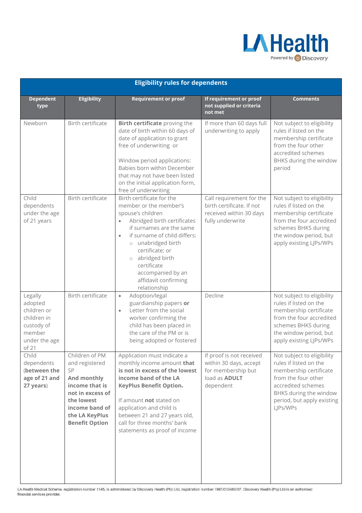

|                                                                                                    | <b>Eligibility rules for dependents</b>                                                                                                                                |                                                                                                                                                                                                                                                                                                                                    |                                                                                                               |                                                                                                                                                                                                 |  |
|----------------------------------------------------------------------------------------------------|------------------------------------------------------------------------------------------------------------------------------------------------------------------------|------------------------------------------------------------------------------------------------------------------------------------------------------------------------------------------------------------------------------------------------------------------------------------------------------------------------------------|---------------------------------------------------------------------------------------------------------------|-------------------------------------------------------------------------------------------------------------------------------------------------------------------------------------------------|--|
| <b>Dependent</b><br>type                                                                           | <b>Eligibility</b>                                                                                                                                                     | <b>Requirement or proof</b>                                                                                                                                                                                                                                                                                                        | If requirement or proof<br>not supplied or criteria<br>not met                                                | <b>Comments</b>                                                                                                                                                                                 |  |
| Newborn                                                                                            | Birth certificate                                                                                                                                                      | Birth certificate proving the<br>date of birth within 60 days of<br>date of application to grant<br>free of underwriting or<br>Window period applications:<br>Babies born within December<br>that may not have been listed<br>on the initial application form,<br>free of underwriting                                             | If more than 60 days full<br>underwriting to apply                                                            | Not subject to eligibility<br>rules if listed on the<br>membership certificate<br>from the four other<br>accredited schemes<br>BHKS during the window<br>period                                 |  |
| Child<br>dependents<br>under the age<br>of 21 years                                                | Birth certificate                                                                                                                                                      | Birth certificate for the<br>member or the member's<br>spouse's children<br>Abridged birth certificates<br>if surnames are the same<br>if surname of child differs:<br>$\bullet$<br>o unabridged birth<br>certificate; or<br>abridged birth<br>$\circ$<br>certificate<br>accompanied by an<br>affidavit confirming<br>relationship | Call requirement for the<br>birth certificate. If not<br>received within 30 days<br>fully underwrite          | Not subject to eligibility<br>rules if listed on the<br>membership certificate<br>from the four accredited<br>schemes BHKS during<br>the window period, but<br>apply existing LJPs/WPs          |  |
| Legally<br>adopted<br>children or<br>children in<br>custody of<br>member<br>under the age<br>of 21 | Birth certificate                                                                                                                                                      | Adoption/legal<br>$\bullet$<br>guardianship papers or<br>Letter from the social<br>$\bullet$<br>worker confirming the<br>child has been placed in<br>the care of the PM or is<br>being adopted or fostered                                                                                                                         | Decline                                                                                                       | Not subject to eligibility<br>rules if listed on the<br>membership certificate<br>from the four accredited<br>schemes BHKS during<br>the window period, but<br>apply existing LJPs/WPs          |  |
| Child<br>dependents<br>(between the<br>age of 21 and<br>27 years)                                  | Children of PM<br>and registered<br>SP<br>And monthly<br>income that is<br>not in excess of<br>the lowest<br>income band of<br>the LA KeyPlus<br><b>Benefit Option</b> | Application must indicate a<br>monthly income amount that<br>is not in excess of the lowest<br>income band of the LA<br><b>KeyPlus Benefit Option.</b><br>If amount not stated on<br>application and child is<br>between 21 and 27 years old,<br>call for three months' bank<br>statements as proof of income                      | If proof is not received<br>within 30 days, accept<br>for membership but<br>load as <b>ADULT</b><br>dependent | Not subject to eligibility<br>rules if listed on the<br>membership certificate<br>from the four other<br>accredited schemes<br>BHKS during the window<br>period, but apply existing<br>LJPs/WPs |  |

LA Health Medical Scheme, registration number 1145, is administered by Discovery Health (Pty) Ltd, registration number 1997/013480/07. Discovery Health (Pty) Ltd is an authorised financial services provider.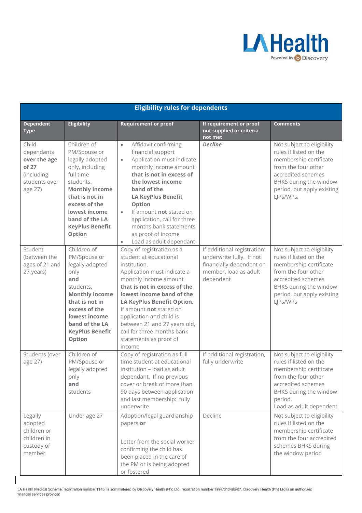

#### **Eligibility rules for dependents**

| <b>Dependent</b><br><b>Type</b>                                                        | <b>Eligibility</b>                                                                                                                                                                                                             | <b>Requirement or proof</b>                                                                                                                                                                                                                                                                                                                                                        | If requirement or proof<br>not supplied or criteria<br>not met                                                            | <b>Comments</b>                                                                                                                                                                                  |
|----------------------------------------------------------------------------------------|--------------------------------------------------------------------------------------------------------------------------------------------------------------------------------------------------------------------------------|------------------------------------------------------------------------------------------------------------------------------------------------------------------------------------------------------------------------------------------------------------------------------------------------------------------------------------------------------------------------------------|---------------------------------------------------------------------------------------------------------------------------|--------------------------------------------------------------------------------------------------------------------------------------------------------------------------------------------------|
| Child<br>dependants<br>over the age<br>of 27<br>(including<br>students over<br>age 27) | Children of<br>PM/Spouse or<br>legally adopted<br>only, including<br>full time<br>students.<br><b>Monthly income</b><br>that is not in<br>excess of the<br>lowest income<br>band of the LA<br><b>KeyPlus Benefit</b><br>Option | Affidavit confirming<br>$\bullet$<br>financial support<br>Application must indicate<br>$\bullet$<br>monthly income amount<br>that is not in excess of<br>the lowest income<br>band of the<br><b>LA KeyPlus Benefit</b><br>Option<br>If amount not stated on<br>$\bullet$<br>application, call for three<br>months bank statements<br>as proof of income<br>Load as adult dependant | <b>Decline</b>                                                                                                            | Not subject to eligibility<br>rules if listed on the<br>membership certificate<br>from the four other<br>accredited schemes<br>BHKS during the window<br>period, but apply existing<br>LJPs/WPs. |
| Student<br>(between the<br>ages of 21 and<br>27 years)                                 | Children of<br>PM/Spouse or<br>legally adopted<br>only<br>and<br>students.<br><b>Monthly income</b><br>that is not in<br>excess of the<br>lowest income<br>band of the LA<br><b>KeyPlus Benefit</b><br>Option                  | Copy of registration as a<br>student at educational<br>institution.<br>Application must indicate a<br>monthly income amount<br>that is not in excess of the<br>lowest income band of the<br>LA KeyPlus Benefit Option.<br>If amount not stated on<br>application and child is<br>between 21 and 27 years old,<br>call for three months bank<br>statements as proof of<br>income    | If additional registration:<br>underwrite fully. If not<br>financially dependent on<br>member, load as adult<br>dependent | Not subject to eligibility<br>rules if listed on the<br>membership certificate<br>from the four other<br>accredited schemes<br>BHKS during the window<br>period, but apply existing<br>LJPs/WPs  |
| Students (over<br>age 27)                                                              | Children of<br>PM/Spouse or<br>legally adopted<br>only<br>and<br>students                                                                                                                                                      | Copy of registration as full<br>time student at educational<br>institution - load as adult<br>dependant. If no previous<br>cover or break of more than<br>90 days between application<br>and last membership: fully<br>underwrite                                                                                                                                                  | If additional registration,<br>fully underwrite                                                                           | Not subject to eligibility<br>rules if listed on the<br>membership certificate<br>from the four other<br>accredited schemes<br>BHKS during the window<br>period.<br>Load as adult dependent      |
| Legally<br>adopted<br>children or<br>children in<br>custody of<br>member               | Under age 27                                                                                                                                                                                                                   | Adoption/legal guardianship<br>papers or<br>Letter from the social worker<br>confirming the child has<br>been placed in the care of<br>the PM or is being adopted<br>or fostered                                                                                                                                                                                                   | Decline                                                                                                                   | Not subject to eligibility<br>rules if listed on the<br>membership certificate<br>from the four accredited<br>schemes BHKS during<br>the window period                                           |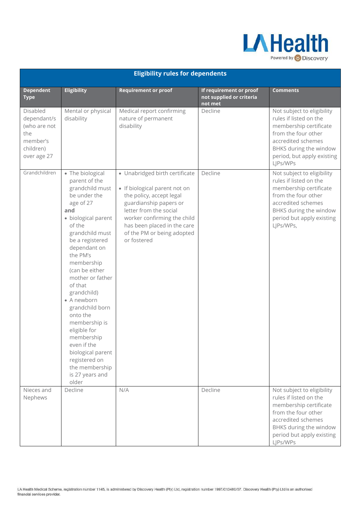

| <b>Eligibility rules for dependents</b>                                                |                                                                                                                                                                                                                                                                                                                                                                                                                                                                           |                                                                                                                                                                                                                                                            |                                                                |                                                                                                                                                                                                 |  |
|----------------------------------------------------------------------------------------|---------------------------------------------------------------------------------------------------------------------------------------------------------------------------------------------------------------------------------------------------------------------------------------------------------------------------------------------------------------------------------------------------------------------------------------------------------------------------|------------------------------------------------------------------------------------------------------------------------------------------------------------------------------------------------------------------------------------------------------------|----------------------------------------------------------------|-------------------------------------------------------------------------------------------------------------------------------------------------------------------------------------------------|--|
| <b>Dependent</b><br><b>Type</b>                                                        | <b>Eligibility</b>                                                                                                                                                                                                                                                                                                                                                                                                                                                        | <b>Requirement or proof</b>                                                                                                                                                                                                                                | If requirement or proof<br>not supplied or criteria<br>not met | <b>Comments</b>                                                                                                                                                                                 |  |
| Disabled<br>dependant/s<br>(who are not<br>the<br>member's<br>children)<br>over age 27 | Mental or physical<br>disability                                                                                                                                                                                                                                                                                                                                                                                                                                          | Medical report confirming<br>nature of permanent<br>disability                                                                                                                                                                                             | Decline                                                        | Not subject to eligibility<br>rules if listed on the<br>membership certificate<br>from the four other<br>accredited schemes<br>BHKS during the window<br>period, but apply existing<br>LJPs/WPs |  |
| Grandchildren                                                                          | • The biological<br>parent of the<br>grandchild must<br>be under the<br>age of 27<br>and<br>· biological parent<br>of the<br>grandchild must<br>be a registered<br>dependant on<br>the PM's<br>membership<br>(can be either<br>mother or father<br>of that<br>grandchild)<br>• A newborn<br>grandchild born<br>onto the<br>membership is<br>eligible for<br>membership<br>even if the<br>biological parent<br>registered on<br>the membership<br>is 27 years and<br>older | · Unabridged birth certificate<br>• If biological parent not on<br>the policy, accept legal<br>guardianship papers or<br>letter from the social<br>worker confirming the child<br>has been placed in the care<br>of the PM or being adopted<br>or fostered | Decline                                                        | Not subject to eligibility<br>rules if listed on the<br>membership certificate<br>from the four other<br>accredited schemes<br>BHKS during the window<br>period but apply existing<br>LJPs/WPs, |  |
| Nieces and<br>Nephews                                                                  | Decline                                                                                                                                                                                                                                                                                                                                                                                                                                                                   | N/A                                                                                                                                                                                                                                                        | Decline                                                        | Not subject to eligibility<br>rules if listed on the<br>membership certificate<br>from the four other<br>accredited schemes<br>BHKS during the window<br>period but apply existing<br>LJPs/WPs  |  |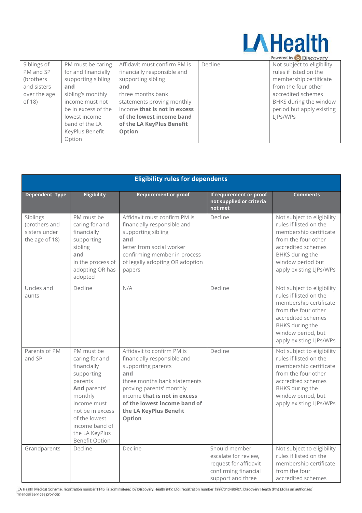

|              |                     |                              |         | Powered by W DISCOVERY     |
|--------------|---------------------|------------------------------|---------|----------------------------|
| Siblings of  | PM must be caring   | Affidavit must confirm PM is | Decline | Not subject to eligibility |
| PM and SP    | for and financially | financially responsible and  |         | rules if listed on the     |
| (brothers    | supporting sibling  | supporting sibling           |         | membership certificate     |
| and sisters  | and                 | and                          |         | from the four other        |
| over the age | sibling's monthly   | three months bank            |         | accredited schemes         |
| of 18)       | income must not     | statements proving monthly   |         | BHKS during the window     |
|              | be in excess of the | income that is not in excess |         | period but apply existing  |
|              | lowest income       | of the lowest income band    |         | LJPs/WPs                   |
|              | band of the LA      | of the LA KeyPlus Benefit    |         |                            |
|              | KeyPlus Benefit     | Option                       |         |                            |
|              | Option              |                              |         |                            |

| <b>Eligibility rules for dependents</b>                      |                                                                                                                                                                                                                  |                                                                                                                                                                                                                                                        |                                                                                                             |                                                                                                                                                                                                 |
|--------------------------------------------------------------|------------------------------------------------------------------------------------------------------------------------------------------------------------------------------------------------------------------|--------------------------------------------------------------------------------------------------------------------------------------------------------------------------------------------------------------------------------------------------------|-------------------------------------------------------------------------------------------------------------|-------------------------------------------------------------------------------------------------------------------------------------------------------------------------------------------------|
| <b>Dependent Type</b>                                        | <b>Eligibility</b>                                                                                                                                                                                               | <b>Requirement or proof</b>                                                                                                                                                                                                                            | If requirement or proof<br>not supplied or criteria<br>not met                                              | <b>Comments</b>                                                                                                                                                                                 |
| Siblings<br>(brothers and<br>sisters under<br>the age of 18) | PM must be<br>caring for and<br>financially<br>supporting<br>sibling<br>and<br>in the process of<br>adopting OR has<br>adopted                                                                                   | Affidavit must confirm PM is<br>financially responsible and<br>supporting sibling<br>and<br>letter from social worker<br>confirming member in process<br>of legally adopting OR adoption<br>papers                                                     | Decline                                                                                                     | Not subject to eligibility<br>rules if listed on the<br>membership certificate<br>from the four other<br>accredited schemes<br>BHKS during the<br>window period but<br>apply existing LJPs/WPs  |
| Uncles and<br>aunts                                          | Decline                                                                                                                                                                                                          | N/A                                                                                                                                                                                                                                                    | Decline                                                                                                     | Not subject to eligibility<br>rules if listed on the<br>membership certificate<br>from the four other<br>accredited schemes<br>BHKS during the<br>window period, but<br>apply existing LJPs/WPs |
| Parents of PM<br>and SP                                      | PM must be<br>caring for and<br>financially<br>supporting<br>parents<br>And parents'<br>monthly<br>income must<br>not be in excess<br>of the lowest<br>income band of<br>the LA KeyPlus<br><b>Benefit Option</b> | Affidavit to confirm PM is<br>financially responsible and<br>supporting parents<br>and<br>three months bank statements<br>proving parents' monthly<br>income that is not in excess<br>of the lowest income band of<br>the LA KeyPlus Benefit<br>Option | Decline                                                                                                     | Not subject to eligibility<br>rules if listed on the<br>membership certificate<br>from the four other<br>accredited schemes<br>BHKS during the<br>window period, but<br>apply existing LJPs/WPs |
| Grandparents                                                 | Decline                                                                                                                                                                                                          | Decline                                                                                                                                                                                                                                                | Should member<br>escalate for review,<br>request for affidavit<br>confirming financial<br>support and three | Not subject to eligibility<br>rules if listed on the<br>membership certificate<br>from the four<br>accredited schemes                                                                           |

LA Health Medical Scheme, registration number 1145, is administered by Discovery Health (Pty) Ltd, registration number 1997/013480/07. Discovery Health (Pty) Ltd is an authorised financial services provider.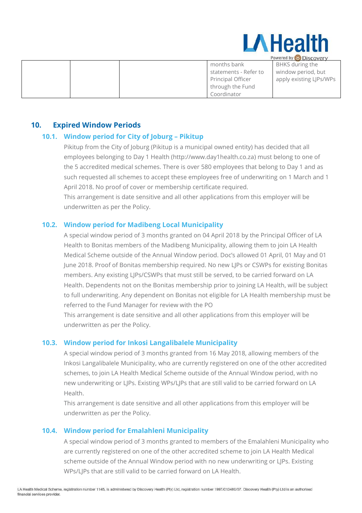

| <b>COMELER BY W DISCOVELY</b> |  |  |                       |                         |
|-------------------------------|--|--|-----------------------|-------------------------|
|                               |  |  | months bank           | BHKS during the         |
|                               |  |  | statements - Refer to | window period, but      |
|                               |  |  | Principal Officer     | apply existing LJPs/WPs |
|                               |  |  | through the Fund      |                         |
|                               |  |  | Coordinator           |                         |

#### <span id="page-15-1"></span><span id="page-15-0"></span>**10. Expired Window Periods**

#### **10.1. Window period for City of Joburg – Pikitup**

Pikitup from the City of Joburg (Pikitup is a municipal owned entity) has decided that all employees belonging to Day 1 Health [\(http://www.day1health.co.za\)](http://www.day1health.co.za/) must belong to one of the 5 accredited medical schemes. There is over 580 employees that belong to Day 1 and as such requested all schemes to accept these employees free of underwriting on 1 March and 1 April 2018. No proof of cover or membership certificate required.

This arrangement is date sensitive and all other applications from this employer will be underwritten as per the Policy.

#### <span id="page-15-2"></span>**10.2. Window period for Madibeng Local Municipality**

A special window period of 3 months granted on 04 April 2018 by the Principal Officer of LA Health to Bonitas members of the Madibeng Municipality, allowing them to join LA Health Medical Scheme outside of the Annual Window period. Doc's allowed 01 April, 01 May and 01 June 2018. Proof of Bonitas membership required. No new LJPs or CSWPs for existing Bonitas members. Any existing LJPs/CSWPs that must still be served, to be carried forward on LA Health. Dependents not on the Bonitas membership prior to joining LA Health, will be subject to full underwriting. Any dependent on Bonitas not eligible for LA Health membership must be referred to the Fund Manager for review with the PO

This arrangement is date sensitive and all other applications from this employer will be underwritten as per the Policy.

#### <span id="page-15-3"></span>**10.3. Window period for Inkosi Langalibalele Municipality**

A special window period of 3 months granted from 16 May 2018, allowing members of the Inkosi Langalibalele Municipality, who are currently registered on one of the other accredited schemes, to join LA Health Medical Scheme outside of the Annual Window period, with no new underwriting or LJPs. Existing WPs/LJPs that are still valid to be carried forward on LA Health.

This arrangement is date sensitive and all other applications from this employer will be underwritten as per the Policy.

#### <span id="page-15-4"></span>**10.4. Window period for Emalahleni Municipality**

A special window period of 3 months granted to members of the Emalahleni Municipality who are currently registered on one of the other accredited scheme to join LA Health Medical scheme outside of the Annual Window period with no new underwriting or LJPs. Existing WPs/LJPs that are still valid to be carried forward on LA Health.